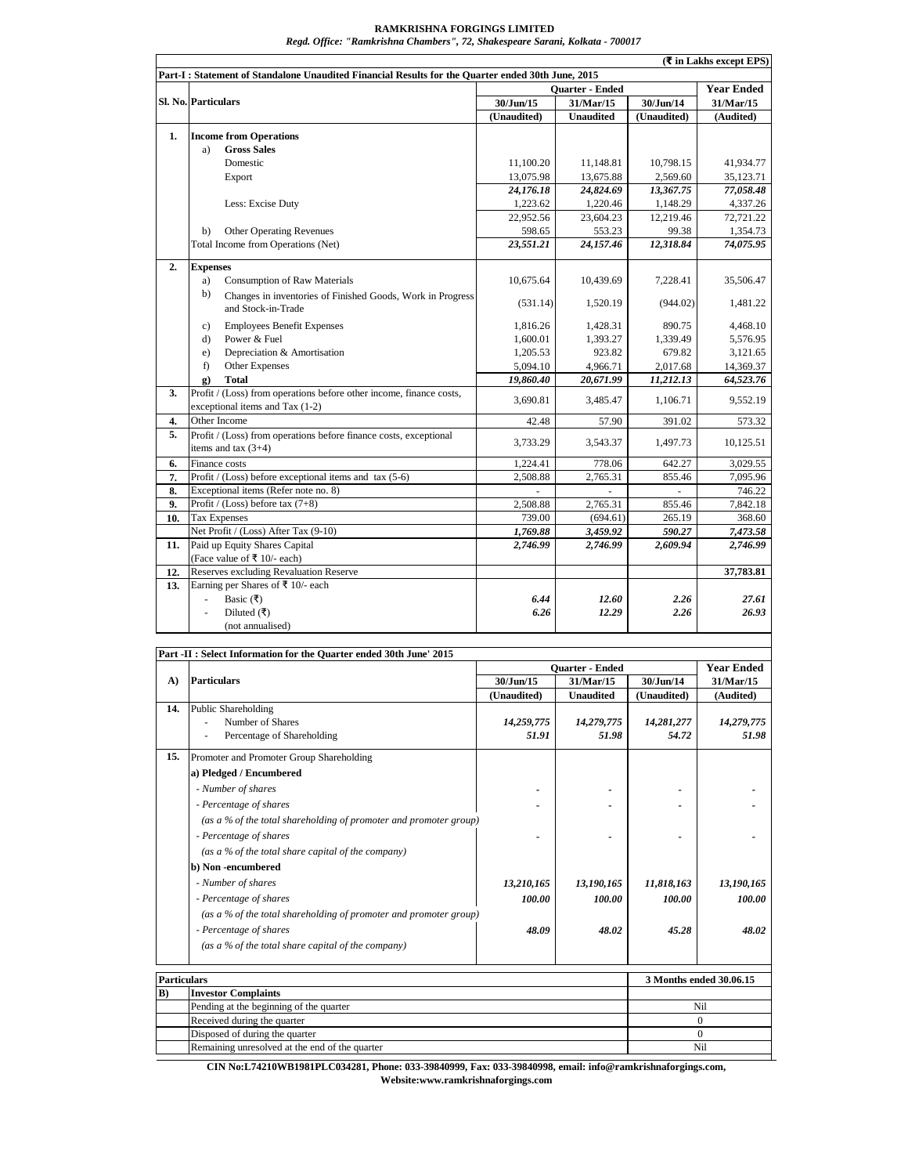## **RAMKRISHNA FORGINGS LIMITED**

*Regd. Office: "Ramkrishna Chambers", 72, Shakespeare Sarani, Kolkata - 700017*

|     |                                                                                            | <b>Ouarter - Ended</b> |                  |                | <b>Year Ended</b> |
|-----|--------------------------------------------------------------------------------------------|------------------------|------------------|----------------|-------------------|
|     | <b>Sl. No. Particulars</b>                                                                 | 30/Jun/15              | 31/Mar/15        | 30/Jun/14      | 31/Mar/15         |
|     |                                                                                            | (Unaudited)            | <b>Unaudited</b> | (Unaudited)    | (Audited)         |
| 1.  | <b>Income from Operations</b>                                                              |                        |                  |                |                   |
|     | <b>Gross Sales</b><br>a)                                                                   |                        |                  |                |                   |
|     | Domestic                                                                                   | 11,100.20              | 11,148.81        | 10,798.15      | 41,934.77         |
|     | Export                                                                                     | 13,075.98              | 13,675.88        | 2,569.60       | 35,123.71         |
|     |                                                                                            | 24,176.18              | 24,824.69        | 13,367.75      | 77,058.48         |
|     | Less: Excise Duty                                                                          | 1,223.62               | 1,220.46         | 1,148.29       | 4,337.26          |
|     |                                                                                            | 22,952.56              | 23,604.23        | 12,219.46      | 72,721.22         |
|     | <b>Other Operating Revenues</b><br>b)                                                      | 598.65                 | 553.23           | 99.38          | 1,354.73          |
|     | Total Income from Operations (Net)                                                         | 23,551.21              | 24,157.46        | 12,318.84      | 74,075.95         |
| 2.  | <b>Expenses</b>                                                                            |                        |                  |                |                   |
|     | <b>Consumption of Raw Materials</b><br>a)                                                  | 10,675.64              | 10,439.69        | 7,228.41       | 35,506.47         |
|     | b)<br>Changes in inventories of Finished Goods, Work in Progress<br>and Stock-in-Trade     | (531.14)               | 1,520.19         | (944.02)       | 1,481.22          |
|     | <b>Employees Benefit Expenses</b><br>c)                                                    | 1,816.26               | 1,428.31         | 890.75         | 4,468.10          |
|     | Power & Fuel<br>d)                                                                         | 1,600.01               | 1,393.27         | 1,339.49       | 5,576.95          |
|     | Depreciation & Amortisation<br>e)                                                          | 1,205.53               | 923.82           | 679.82         | 3,121.65          |
|     | f)<br>Other Expenses                                                                       | 5,094.10               | 4,966.71         | 2,017.68       | 14,369.37         |
|     | <b>Total</b><br>g)                                                                         | 19,860.40              | 20,671.99        | 11,212.13      | 64,523.76         |
| 3.  | Profit / (Loss) from operations before other income, finance costs,                        | 3,690.81               | 3,485.47         | 1,106.71       | 9,552.19          |
|     | exceptional items and Tax (1-2)                                                            |                        |                  |                |                   |
| 4.  | Other Income                                                                               | 42.48                  | 57.90            | 391.02         | 573.32            |
| 5.  | Profit / (Loss) from operations before finance costs, exceptional<br>items and tax $(3+4)$ | 3,733.29               | 3,543.37         | 1,497.73       | 10,125.51         |
| 6.  | Finance costs                                                                              | 1,224.41               | 778.06           | 642.27         | 3,029.55          |
| 7.  | Profit / (Loss) before exceptional items and $tax(5-6)$                                    | 2,508.88               | 2,765.31         | 855.46         | 7,095.96          |
| 8.  | Exceptional items (Refer note no. 8)                                                       |                        | ä,               | $\overline{a}$ | 746.22            |
| 9.  | Profit / (Loss) before tax (7+8)                                                           | 2,508.88               | 2,765.31         | 855.46         | 7,842.18          |
| 10. | <b>Tax Expenses</b>                                                                        | 739.00                 | (694.61)         | 265.19         | 368.60            |
|     | Net Profit / (Loss) After Tax (9-10)                                                       | 1,769.88               | 3,459.92         | 590.27         | 7,473.58          |
| 11. | Paid up Equity Shares Capital                                                              | 2,746.99               | 2,746.99         | 2,609.94       | 2,746.99          |
|     | (Face value of ₹ 10/- each)                                                                |                        |                  |                |                   |
| 12. | <b>Reserves excluding Revaluation Reserve</b>                                              |                        |                  |                | 37,783.81         |
| 13. | Earning per Shares of ₹ 10/- each                                                          |                        |                  |                |                   |
|     | Basic $( ₹)$<br>$\omega$                                                                   | 6.44                   | 12.60            | 2.26           | 27.61             |
|     | Diluted (₹)<br>÷,                                                                          | 6.26                   | 12.29            | 2.26           | 26.93             |
|     | (not annualised)                                                                           |                        |                  |                |                   |

|                    | r art -n; select mromation for the Quarter ended sound the 2013                  | <b>Ouarter - Ended</b> |                  |             | <b>Year Ended</b>       |  |
|--------------------|----------------------------------------------------------------------------------|------------------------|------------------|-------------|-------------------------|--|
| A)                 | <b>Particulars</b>                                                               | 30/Jun/15              | 31/Mar/15        | 30/Jun/14   | 31/Mar/15               |  |
|                    |                                                                                  | (Unaudited)            | <b>Unaudited</b> | (Unaudited) | (Audited)               |  |
| 14.                | <b>Public Shareholding</b>                                                       |                        |                  |             |                         |  |
|                    | Number of Shares                                                                 | 14,259,775             | 14,279,775       | 14,281,277  | 14,279,775              |  |
|                    | Percentage of Shareholding                                                       | 51.91                  | 51.98            | 54.72       | 51.98                   |  |
| 15.                | Promoter and Promoter Group Shareholding                                         |                        |                  |             |                         |  |
|                    | a) Pledged / Encumbered                                                          |                        |                  |             |                         |  |
|                    | - Number of shares                                                               |                        |                  |             |                         |  |
|                    | - Percentage of shares                                                           |                        |                  |             |                         |  |
|                    | (as a % of the total shareholding of promoter and promoter group)                |                        |                  |             |                         |  |
|                    | - Percentage of shares                                                           |                        |                  |             |                         |  |
|                    | (as a % of the total share capital of the company)                               |                        |                  |             |                         |  |
|                    | b) Non-encumbered                                                                |                        |                  |             |                         |  |
|                    | - Number of shares                                                               | 13,210,165             | 13,190,165       | 11,818,163  | 13,190,165              |  |
|                    | - Percentage of shares                                                           | 100.00                 | 100.00           | 100.00      | 100.00                  |  |
|                    | (as a % of the total shareholding of promoter and promoter group)                |                        |                  |             |                         |  |
|                    | - Percentage of shares                                                           | 48.09                  | 48.02            | 45.28       | 48.02                   |  |
|                    | (as a % of the total share capital of the company)                               |                        |                  |             |                         |  |
|                    |                                                                                  |                        |                  |             |                         |  |
| <b>Particulars</b> |                                                                                  |                        |                  |             | 3 Months ended 30.06.15 |  |
| B)                 | <b>Investor Complaints</b>                                                       |                        |                  |             | Nil                     |  |
|                    | Pending at the beginning of the quarter<br>Received during the quarter           |                        |                  |             | $\mathbf{0}$            |  |
|                    |                                                                                  |                        |                  |             | $\Omega$                |  |
|                    | Disposed of during the quarter<br>Remaining unresolved at the end of the quarter | Nil                    |                  |             |                         |  |
|                    |                                                                                  |                        |                  |             |                         |  |

**CIN No:L74210WB1981PLC034281, Phone: 033-39840999, Fax: 033-39840998, email: info@ramkrishnaforgings.com, Website:www.ramkrishnaforgings.com**